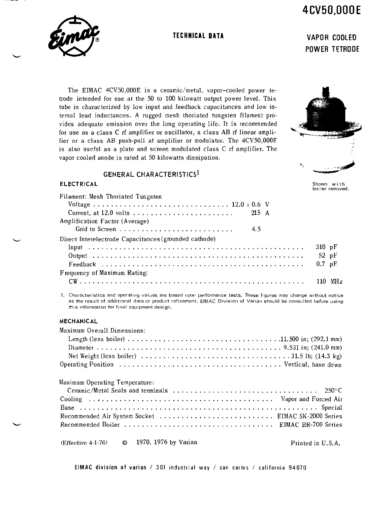4CV50,000E



# **TECHNICAL DATA** VAPOR COOLED

POWER TETRODE

The EIMAC 4CV50,000E is a ceramic/metal, vapor-cooled power tetrode intended for use at the 50 to 100 kilowatt output power level. This tube is characterized by low input and feedback capacitances and low internal lead inductances. A rugged mesh thoriated tungsten filament provides adequate emission over the long operating life. It is recommended for use as a class C rf amplifier or oscillator, a class AB rf linear amplifier or a class AB push-pull af amplifier or modulator. The 4CV50,000E is also useful as a plate and screen modulated class C rf amplifier. The vapor cooled anode is rated at 50 kilowatts dissipation.

## GENERAL CHARACTERISTICS<sup>1</sup>

### ELECTRICAL Shown with the state of the state of the shown with the shown with shown with the state of the state of the state of the state of the state of the state of the state of the state of the state of the state of the

| Filament: Mesh Thoriated Tungsten                     |                 |
|-------------------------------------------------------|-----------------|
|                                                       |                 |
|                                                       |                 |
| Amplification Factor (Average)                        |                 |
|                                                       |                 |
| Direct Interelectrode Capacitances (grounded cathode) |                 |
|                                                       | $310$ pF        |
|                                                       | 52p             |
|                                                       | $0.7$ pF        |
| Frequency of Maximum Rating:                          |                 |
|                                                       | MH <sub>z</sub> |
|                                                       |                 |

1. Characteristics and operating values are based uwn performance tests. These figures may change without notice as the result of additional data or product refinement. EIMAC Division of Varian should be consulted before using this information for final equipment design.

### MECHANICAL

| Maximum Overall Dimensions: |  |
|-----------------------------|--|
|                             |  |
|                             |  |
|                             |  |
|                             |  |

Maximum Operating Temperature:

| Recommended Air System Socket  EIMAC SK-2000 Series |  |
|-----------------------------------------------------|--|
|                                                     |  |
|                                                     |  |

(Effective 4-1-76)  $\qquad \qquad \qquad \qquad \qquad \qquad \qquad \qquad$  1970, 1976 by Varian  $\qquad \qquad \qquad \qquad \qquad \qquad$  Printed in U.S.A.

EIMAC division of varian / 301 industrial way / san carlos / california 94070

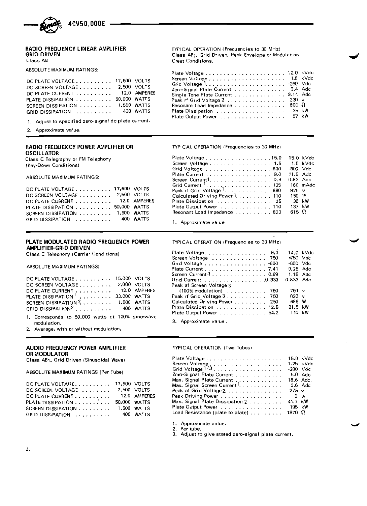

### **RADIO FREQUENCY LINEAR AMPLIFIER GRlD DRIVEN**

Class AB

ABSOLUTE MAXIMUM RATINGS:

| DC PLATE VOLTAGE 17,500 VOLTS |              |                    |
|-------------------------------|--------------|--------------------|
| DC SCREEN VOLTAGE 2,500 VOLTS |              |                    |
| DC PLATE CURRENT              |              | 12.0 AMPERES       |
| PLATE DISSIPATION             | 50,000 WATTS |                    |
| SCREEN DISSIPATION            |              | <b>1.500 WATTS</b> |
| GRID DISSIPATION $\ldots$ ,   |              | 400 WATTS          |

1. Adjust to specified zero-signal dc plate current.

2. Approximate value.

# **OSCILLATOR**

| DC PLATE VOLTAGE 17,500 VOLTS  |  |
|--------------------------------|--|
| DC SCREEN VOLTAGE 2,500 VOLTS  |  |
| DC PLATE CURRENT 12.0 AMPERES  |  |
| PLATE DISSIPATION 50,000 WATTS |  |
| SCREEN DISSIPATION 1,500 WATTS |  |
| GRID DISSIPATION  400 WATTS    |  |

#### **PLATE MODULATED RADIO FREQUENCY POWER AMPLIFIER-GRID DRIVEN**

Class C Telephony (Carrier Conditions)

#### ABSOLUTE MAXIMUM RATINGS:

| DC PLATE VOLTAGE 15,000 VOLTS                       |              |              |
|-----------------------------------------------------|--------------|--------------|
| DC SCREEN VOLTAGE                                   |              | 2.000 VOLTS  |
| DC PLATE CURRENT                                    |              | 12.0 AMPERES |
| PLATE DISSIPATION $\frac{1}{1}$ ,                   | 33.000 WATTS |              |
| SCREEN DISSIPATION $2, \ldots, \ldots, 1,500$ WATTS |              |              |
| GRID DISSIPATION <sup>2</sup>                       |              | 400 WATTS    |

1. Corresponds to 50.000 watts at 100% sine-wave modulation.

2. Average, with or without modulation.

#### **AUDIO FREQUENCY POWER AMPLIFIER OR MODULATOR**

Class AB1, Grid Driven (Sinusoidal Wave)

ABSOLUTE MAXIMUM RATINGS (Per Tube)

| DC PLATE VOLTAGE                         | 17,500 VOLTS |              |
|------------------------------------------|--------------|--------------|
| DC SCREEN VOLTAGE                        |              | 2.500 VOLTS  |
| DC PLATE CURRENT                         |              | 12.0 AMPERES |
| PLATE DISSIPATION $\ldots \ldots \ldots$ |              | 50,000 WATTS |
| SCREEN DISSIPATION $\ldots$ ,,,,,,,      |              | 1.500 WATTS  |
| GRID DISSIPATION                         |              | 400 WATTS    |
|                                          |              |              |

TYPICAL OPERATION (Frequencies to 30 MHz) Class **ABl.** Grid Driven, Peak Envelope or Modulation Crest Conditions.

| Zero-Signal Plate Current 3.4 Adc<br>Single Tone Plate Current 9.14 Adc<br>Peak rf Grid Voltage 2. 230 v<br>Resonant Load Impedance $\ldots \ldots \ldots \ldots \ldots 600 \Omega$ |  |
|-------------------------------------------------------------------------------------------------------------------------------------------------------------------------------------|--|
| Plate Output Power 57 kW                                                                                                                                                            |  |
|                                                                                                                                                                                     |  |

#### **RADIO FREQUENCY POWER AMPLIFIER OR** TYPICAL OPERATION (Frequencies to 30 MHz)

| ,,,,,,,,,,,,<br>lass C Telegraphy or FM Telephony.                                                                                                                                                                                   |                                                         |              |          |
|--------------------------------------------------------------------------------------------------------------------------------------------------------------------------------------------------------------------------------------|---------------------------------------------------------|--------------|----------|
| Key-Down Conditions)                                                                                                                                                                                                                 | Screen Voltage $\ldots$ , 1.5                           | $1.5\,$ kVdc |          |
|                                                                                                                                                                                                                                      | Grid Voltage 800                                        | $-800$ Vdc   |          |
| ABSOLUTE MAXIMUM RATINGS:                                                                                                                                                                                                            | Plate Current 9.0 11.5 Adc                              |              |          |
|                                                                                                                                                                                                                                      | Screen Current $1, \ldots, \ldots, \ldots, \ldots, 0.9$ | 0.83 Adc     |          |
|                                                                                                                                                                                                                                      | Grid Current <sup>1</sup> . 125                         |              | 160 mAdc |
| DC PLATE VOLTAGE 17,500 VOLTS                                                                                                                                                                                                        | Peak rf Grid Voltage 1. 880                             | $925 \; v$   |          |
| DC SCREEN VOLTAGE 2.500 VOLTS                                                                                                                                                                                                        | Calculated Driving Power 1. 110                         | 150 W        |          |
| OC PLATE CURRENT 12.0 AMPERES                                                                                                                                                                                                        | Plate Dissipation 25                                    | 36 kW        |          |
| PLATE DISSIPATION 50,000 WATTS                                                                                                                                                                                                       | Plate Output Power 110                                  | 137 kW       |          |
| SCREEN DISSIPATION $\ldots \ldots \ldots \ldots 1.500$ WATTS                                                                                                                                                                         | Resonant Load Impedance 820                             | $615 \Omega$ |          |
| <u>in the second contract of the second contract of the second contract of the second contract of the second contract of the second contract of the second contract of the second contract of the second contract of the second </u> |                                                         |              |          |

1. Approximate value

TYPICAL OPERATION (Frequencies to 30 MHz)

| Plate Voltage 9.0<br>Screen Voltage  750<br>Grid Voltage -600<br>Plate Current 7.41<br>Screen Current 3 0.69 | $•750$ Vdc<br>-600 Vdc<br>$9.25$ Adc<br>1.15 Adc | 14.0 kVdc |
|--------------------------------------------------------------------------------------------------------------|--------------------------------------------------|-----------|
| Grid Current 0.333                                                                                           | $0.833$ Adc                                      |           |
| Peak at Screen Voltage 3<br>$(100\% \text{ modulation})$ 750<br>Peak rf Grid Voltage 3 750                   | 750 v<br>820 v                                   |           |
| Calculated Driving Power<br>-250<br>Plate Dissipation 12.5                                                   | 685 W<br>21.5 kW                                 |           |
| Plate Output Power 54.2                                                                                      | 110 kW                                           |           |

3. Approximate value.

#### TYPICAL OPERATION (Two Tubes)

|                                                   | 15.0 kVdc   |
|---------------------------------------------------|-------------|
| Screen Voltage <sub>2</sub> ,                     | $1.25$ kVdc |
| -280 Vdc                                          |             |
| Zero-Si gnal Plate Current                        | 5.0 Adc     |
| Max. Signal Plate Current                         | 18.6 Adc    |
| Max. Signal Screen Current <sup>1</sup> .         | $0.6$ Adc   |
| Peak af Grid Voltage 2.<br>$275 \text{ v}$        |             |
| Peak Driving Power<br>. Ω w                       |             |
| Max, Signal Plate Dissipation 2<br>41.7 kW        |             |
| Plate Output Power<br>195 kW                      |             |
| Load Resistance (plate to plate)<br>1870 $\Omega$ |             |

1. Approximate value.

2. Per tube.

3. Adjust to give stated zero-signal plate current.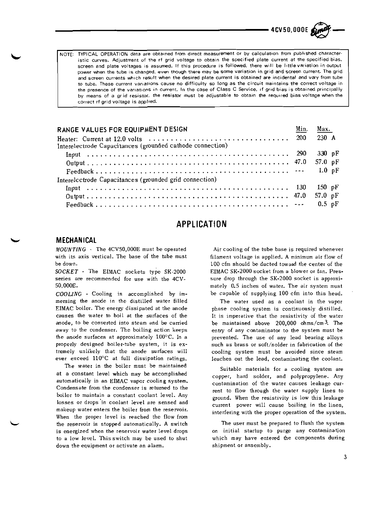

NOTE: TYPICAL OPERATION data are obtained from direct measurement or by calculation from published characterfstic curves. Adjustment of the **rf** grid voltage to obtain the specified plate current at the specified bias. screen and plate voltages is assumed. If this procedure is followed, there will be little variation in output power when the tube is changed, **even** though there **may** be some variation in grid and screen current. The grid and screen currents which result when the desired plate current is obtained are incidental and vary from tube to tube. These current variations cause no difficulty so long as the circuit maintains the correct voltage in the presence of the variations in current. In the case of Class C Service, if grid bias is obtained principally by means of a grid resistor, the resistor must be adjustable to obtain the required bias voltage when the correct rf grid voltage is applied.

| correct if grid voltage is applied.                       |      |           |
|-----------------------------------------------------------|------|-----------|
|                                                           |      |           |
| RANGE VALUES FOR EQUIPMENT DESIGN                         | Min. | Max.      |
| Interelectrode Capacitances (grounded cathode connection) |      | 230 A     |
|                                                           |      | 330 pF    |
|                                                           |      |           |
|                                                           |      | 1.0 $pF$  |
| Interelectrode Capacitances (grounded grid connection)    |      |           |
|                                                           |      | 150 $pF$  |
|                                                           |      | 57.0 $pF$ |
|                                                           |      | $0.5$ pF  |

# **APPLICATION**

### **MECHANICAL**

*MOUNTING* - The 4CV50.000E must be operated with its axis vertical. The base of the tube must be down.

*SOCKET* - The ElMAC sockets type SK-2000 series are recommended for use with the 4CV-50,000E.

*COOLING* - Cooling is accomplished by immersing the anode in the distilled water filled EIMAC boiler. The energy dissipated at the anode causes the water to boil at the surfaces of the anode, to be converted into steam and be carried away to the condenser. The boiling action keeps the anode surfaces at approximately 100°C. In a properly designed boiler-tube system, it is extremely unlikely that the anode surfaces will ever exceed  $110^{\circ}$ C at full dissipation ratings.

The water in the boiler must be maintained at a constant level which may be accomplished automatically in an EIMAC vapor cooling system. Condensate from the condenser is returned to the boiler to maintain a constant coolant level. Any losses or drops'in coolant level are sensed and makeup water enters the boiler from the reservoir. When the proper level is reached the flow from the reservoir is stopped automatically. A switch is energized when the reservoir water level drops to a low level. This switch may be used to shut down the equipment or activate an alarm.

Air cooling of the tube base is required whenever filament voltage is applied. A minimum air flow of 100 cfm should be ducted toward the center of the EIMAC SK-2000 socket from a blower or fan. Pressure drop through the SK-2000 socket is approximately 0.5 inches of water. The air system must be capable of supplying 100 cfm into this head.

The water used as a coolant in the vapor phase cooling system is continuously distilled. It is imperative that the resistivity of the water be maintained above  $200,000$  ohms/cm<sup>3</sup>. The entry of any contaminator to the system must be prevented. The use of any lead bearing alloys such as brass or soft/solder in fabrication of the cooling system must be avoided since steam leaches out the lead, contaminating the coolant.

Suitable materials for a cooling system are copper, hard solder, and polypropylene. Any contamination of the water causes leakage current to flow through the water supply lines to ground. When the resistivity is low this leakage current power will cause boiling in the lines, interfering with the proper operation of the system.

The user must be prepared to flush the system on initial startup to purge any contamination which may have entered the components during shipment or assembly.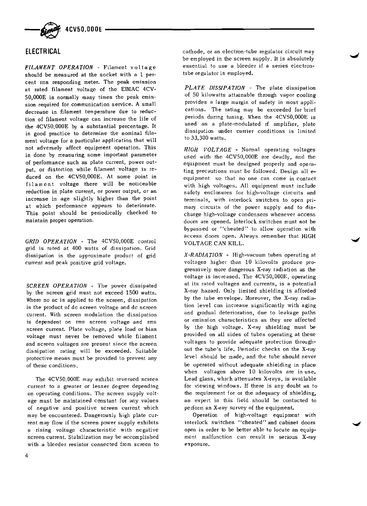

# **ELECTRICAL**

FILAMENT OPERATION - Filament voltage should be measured at the socket with a 1 percent rms responding meter. The peak emission at rated filament voltage of the EIMAC 4CV-50,000E is normally many times the peak emission required for communication service. A small decrease in filament temperature due to reduction of filament voltage can increase the life of the 4CV50,OOOE by a substantial percentage. It is good practice to determine the nominal filament voltage for a particular application that will not adversely affect equipment operation. This is done by measuring some important parameter of performance such as plate current, power output, or distortion while filament voltage is reduced on the 4CV50,OOOE. At some point in filament voltage there will be noticeable reduction in plate current, or power output, or an increase in age slightly higher than the point at which performance appears to deteriorate. This point should be periodically checked to maintain proper operation.

GRID OPERATION - The 4CV50,OOOE control grid is rated at 400 watts of dissipation. Grid dissipation is the approximate product of grid current and peak positive grid voltage.

SCREEN OPERATION - The power dissipated by the screen grid must not exceed 1500 watts. Where no ac is applied to the screen, dissipation is the product of dc screen voltage and dc screen current. With screen modulation the dissipation is dependent on rms screen voltage and rms screen current. Plate voltage, plate load or bias voltage must never be removed while filament and screen voltages are present since the screen dissipation rating will be exceeded. Suitable protective means must be provided to prevent any of these conditions.

The 4CV50,OOOE may exhibit reversed screen current to a greater or lesser degree depending on operating conditions. The screen supply voltage must be maintained constant for any values of negative and positive screen current which may be encountered. Dangerously high plate current may flow if the screen power supply exhibits a rising voltage characteristic with negative screen current. Stabilization may be accomplished with a bleeder resistor connected from screen to cathode, or an electron-tube regulator circuit may be employed in the screen supply. It is absolutely essential to use a bleeder if a series electrontube regulator is employed.

PLATE DISSIPATION - The plate dissipation of 50 kilowatts attainable through vapor cooling provides **a** large margin of safety in most applications. The rating may be exceeded for brief periods during tuning. When the 4CV50,OOOE is used as a plate-modulated **rf** amplifier, plate dissipation under carrier conditions is limited to 33,300 watts.

HIGH VOLTAGE - Normal operating voltages used with the 4CV50,OODE are deadly, and the equipment must be designed properly and operating precautions must be followed. Design all eequipment so that no one can come in contact with high voltages. All equipment must include safety enclosures for high-voltage circuits and terminals, with interlock switches to open primary circuits of the power supply and to discharge high-voltage condensers whenever access doors are opened. Interlock switches must not be bypassed or "cheated" to allow operation with<br>access doors open. Always remember that HIGH<br>VOLTAGE CAN KILL. access doors open. Always remember that HIGH

X-RADIATION - High-vacuum tubes operating at voltages higher than 10 kilovolts produce progressively more dangerous X-ray radiation as the voltage is increased. The 4CV50,000E, operating at its rated voltages and currents, is a potential X-ray hazard. Only limited shielding is afforded by the tube envelope. Moreover, the X-ray radiation level can increase significantly with aging and gradual deterioration, due to leakage paths or emission characteristics as they are affected by the high voltage. X-ray shielding must be provided on all sides of tubes operating at these voltages to provide adequate protection throughout the tube's life. Periodic checks on the X-ray level should be made, and the tube should never be operated without adequate shielding in place when voltages above 10 kilovolts are in use. Lead glass, which attenuates X-rays, is available for viewing windows. If there is any doubt as to the requirement for or the adequacy of shielding, an expert in this field should be contacted to perform an X-ray survey of the equipment.

Operation of high-voltage equipment with interlock switches "cheated" and cabinet doors open in order to be better able to locate an equipment malfunction can result in serious X-ray exposure.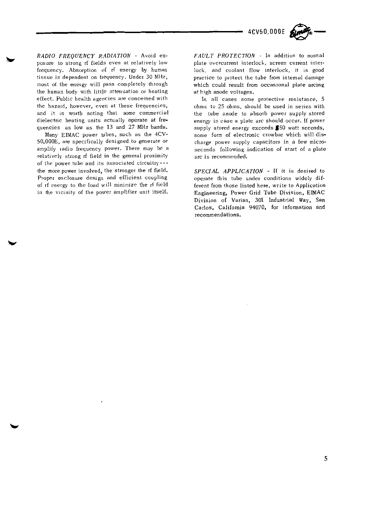



RADIO FREQUENCY RADIATION - Avoid exposure to strong rf fields even at relatively low frequency. Absorption of rf energy by human tissue is dependent on frequency. Under 30 MHz, most of the energv will pass completely through the human body with little attenuation or heating effect. Public health agencies are concerned with the hazard, however, even at these frequencies, and it is worth noting that some commercial dielectric heating units actually operate at frequencies as low as the 13 and 27 MHz bands.

> Many EIMAC power tubes, such as the 4CV-50,00OE, are specifically designed to generate or amplify radio frequency power. There may **be** a relatively strong rf field in the general proximity of the power tube and its associated circuitry-- the more power involved, the stronger the rf field. Proper enclosure design and efficient coupling of rf energy to the load will minimize the rf field in the vicinity of the power amplifier unit itself.

FAULT PROTECTION - In addition to normal plate overcurrent interlock, screen current interlock, and coolant flow interlock, it is good practice to protect the tube from internal damage which could result from occasional plate arcing at high anode voltages.

In all cases some protective resistance, 5 ohms to 25 ohms, should be used in series with the tube anode to absorb power supply stored energy in case a plate arc should occur. If power supply stored energy exceeds  $\sharp$ 50 watt seconds, some form of electronic crowbar which will discharge power supply capacitors in a few microseconds following indication of start of a plate arc is recommended.

SPECIAL APPLICATION - If it is desired to operate this tube under conditions widely different from those listed here, write to Application Engineering, Power Grid Tube Division, ElMAC Division of Varian, 301 Industrial Way, San Carlos, California 94070, for information and recommendations.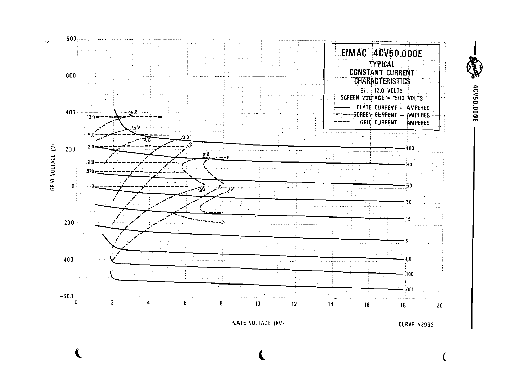

**PLATE VOLTAGE (KV)** CURVE **#3993** 

4CV50,000E